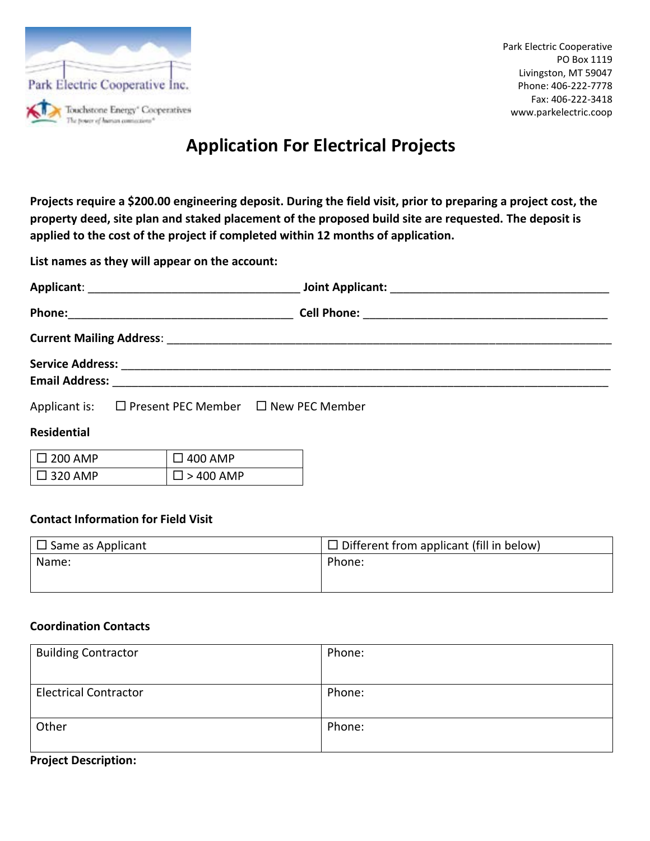

# **Application For Electrical Projects**

**Projects require a \$200.00 engineering deposit. During the field visit, prior to preparing a project cost, the property deed, site plan and staked placement of the proposed build site are requested. The deposit is applied to the cost of the project if completed within 12 months of application.**

**List names as they will appear on the account:**

| <b>Service Address:</b> |  |
|-------------------------|--|
| <b>Email Address:</b>   |  |

| Applicant is: | $\Box$ Present PEC Member | $\Box$ New PEC Member |
|---------------|---------------------------|-----------------------|
|---------------|---------------------------|-----------------------|

## **Residential**

| $\Box$ 200 AMP              | $\Box$ 400 AMP      |
|-----------------------------|---------------------|
| $\mathsf{I} \ \Box$ 320 AMP | $\square$ > 400 AMP |

## **Contact Information for Field Visit**

| $\Box$ Same as Applicant | $\Box$ Different from applicant (fill in below) |
|--------------------------|-------------------------------------------------|
| Name:                    | Phone:                                          |

## **Coordination Contacts**

| <b>Building Contractor</b>   | Phone: |
|------------------------------|--------|
|                              |        |
| <b>Electrical Contractor</b> | Phone: |
|                              |        |
| Other                        | Phone: |
|                              |        |

#### **Project Description:**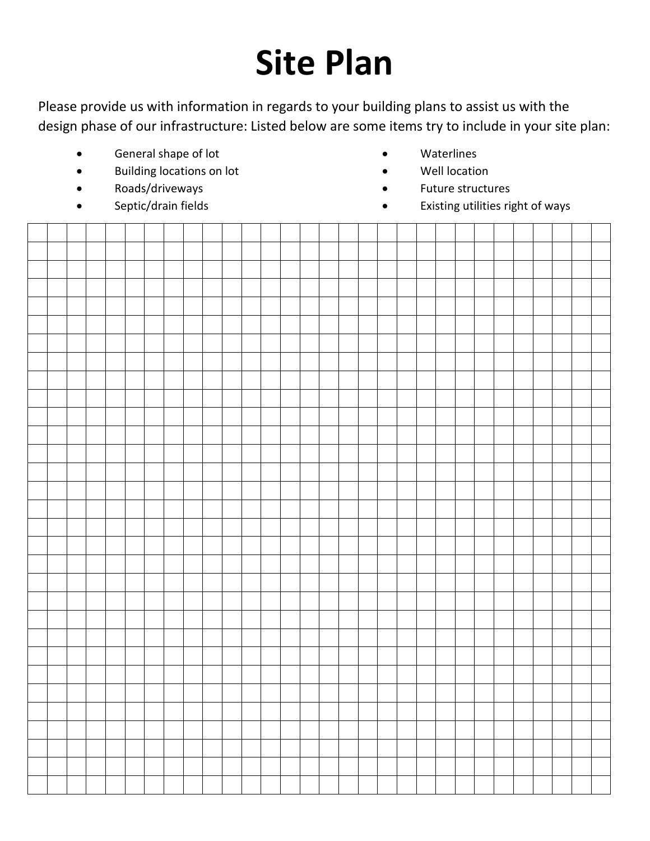# **Site Plan**

Please provide us with information in regards to your building plans to assist us with the design phase of our infrastructure: Listed below are some items try to include in your site plan:

- General shape of lot
- Building locations on lot
- Roads/driveways
- Septic/drain fields
- Waterlines
- Well location
- Future structures
- Existing utilities right of ways

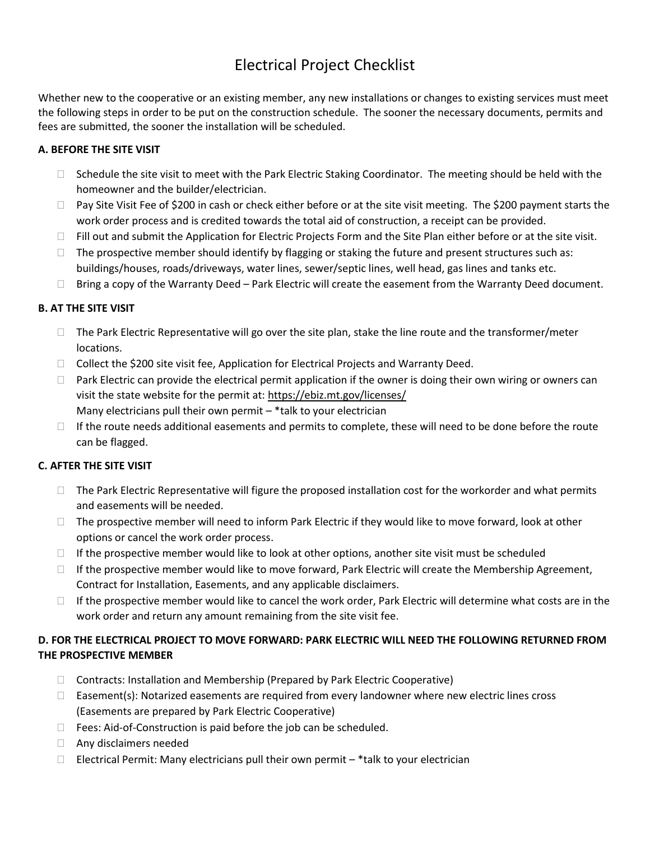## Electrical Project Checklist

Whether new to the cooperative or an existing member, any new installations or changes to existing services must meet the following steps in order to be put on the construction schedule. The sooner the necessary documents, permits and fees are submitted, the sooner the installation will be scheduled.

### **A. BEFORE THE SITE VISIT**

- $\Box$  Schedule the site visit to meet with the Park Electric Staking Coordinator. The meeting should be held with the homeowner and the builder/electrician.
- $\Box$  Pay Site Visit Fee of \$200 in cash or check either before or at the site visit meeting. The \$200 payment starts the work order process and is credited towards the total aid of construction, a receipt can be provided.
- $\Box$  Fill out and submit the Application for Electric Projects Form and the Site Plan either before or at the site visit.
- $\Box$  The prospective member should identify by flagging or staking the future and present structures such as: buildings/houses, roads/driveways, water lines, sewer/septic lines, well head, gas lines and tanks etc.
- $\Box$  Bring a copy of the Warranty Deed Park Electric will create the easement from the Warranty Deed document.

## **B. AT THE SITE VISIT**

- $\Box$  The Park Electric Representative will go over the site plan, stake the line route and the transformer/meter locations.
- $\Box$  Collect the \$200 site visit fee, Application for Electrical Projects and Warranty Deed.
- $\Box$  Park Electric can provide the electrical permit application if the owner is doing their own wiring or owners can visit the state website for the permit at:<https://ebiz.mt.gov/licenses/> Many electricians pull their own permit – \*talk to your electrician
- $\Box$  If the route needs additional easements and permits to complete, these will need to be done before the route can be flagged.

### **C. AFTER THE SITE VISIT**

- $\Box$  The Park Electric Representative will figure the proposed installation cost for the workorder and what permits and easements will be needed.
- $\Box$  The prospective member will need to inform Park Electric if they would like to move forward, look at other options or cancel the work order process.
- $\Box$  If the prospective member would like to look at other options, another site visit must be scheduled
- $\Box$  If the prospective member would like to move forward, Park Electric will create the Membership Agreement, Contract for Installation, Easements, and any applicable disclaimers.
- $\Box$  If the prospective member would like to cancel the work order, Park Electric will determine what costs are in the work order and return any amount remaining from the site visit fee.

## **D. FOR THE ELECTRICAL PROJECT TO MOVE FORWARD: PARK ELECTRIC WILL NEED THE FOLLOWING RETURNED FROM THE PROSPECTIVE MEMBER**

- $\Box$  Contracts: Installation and Membership (Prepared by Park Electric Cooperative)
- $\Box$  Easement(s): Notarized easements are required from every landowner where new electric lines cross (Easements are prepared by Park Electric Cooperative)
- $\Box$  Fees: Aid-of-Construction is paid before the job can be scheduled.
- □ Any disclaimers needed
- $\Box$  Electrical Permit: Many electricians pull their own permit \*talk to your electrician